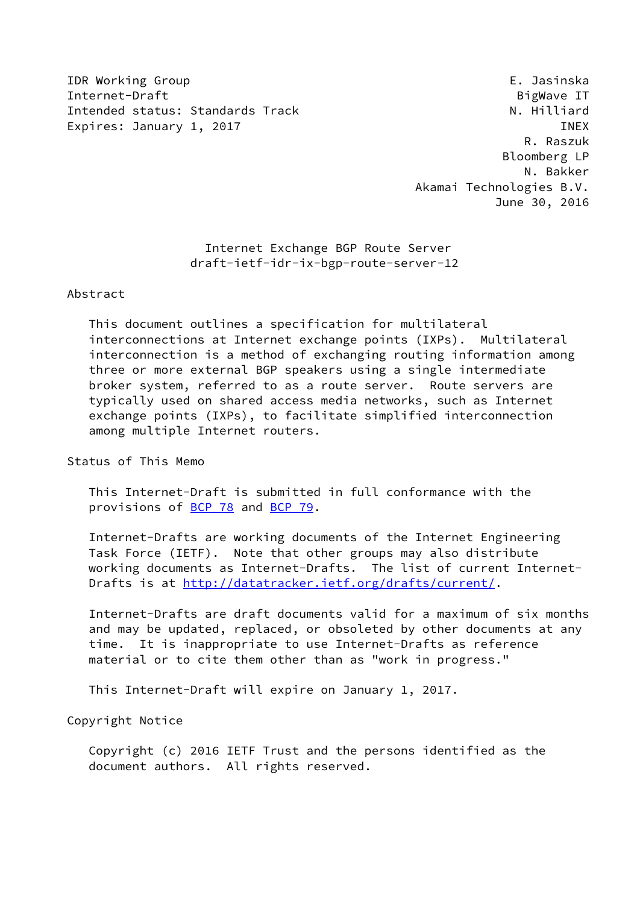IDR Working Group E. Jasinska Internet-Draft BigWave IT Intended status: Standards Track N. Hilliard Expires: January 1, 2017 **INEX** 

 R. Raszuk Bloomberg LP N. Bakker Akamai Technologies B.V. June 30, 2016

> Internet Exchange BGP Route Server draft-ietf-idr-ix-bgp-route-server-12

#### Abstract

 This document outlines a specification for multilateral interconnections at Internet exchange points (IXPs). Multilateral interconnection is a method of exchanging routing information among three or more external BGP speakers using a single intermediate broker system, referred to as a route server. Route servers are typically used on shared access media networks, such as Internet exchange points (IXPs), to facilitate simplified interconnection among multiple Internet routers.

Status of This Memo

 This Internet-Draft is submitted in full conformance with the provisions of [BCP 78](https://datatracker.ietf.org/doc/pdf/bcp78) and [BCP 79](https://datatracker.ietf.org/doc/pdf/bcp79).

 Internet-Drafts are working documents of the Internet Engineering Task Force (IETF). Note that other groups may also distribute working documents as Internet-Drafts. The list of current Internet Drafts is at<http://datatracker.ietf.org/drafts/current/>.

 Internet-Drafts are draft documents valid for a maximum of six months and may be updated, replaced, or obsoleted by other documents at any time. It is inappropriate to use Internet-Drafts as reference material or to cite them other than as "work in progress."

This Internet-Draft will expire on January 1, 2017.

Copyright Notice

 Copyright (c) 2016 IETF Trust and the persons identified as the document authors. All rights reserved.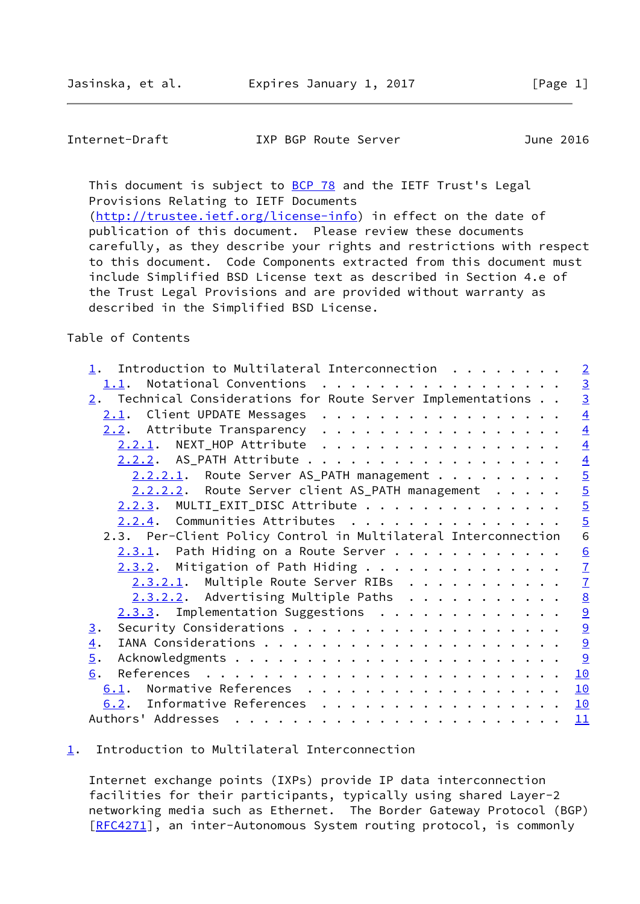<span id="page-1-1"></span>Internet-Draft IXP BGP Route Server June 2016

This document is subject to **[BCP 78](https://datatracker.ietf.org/doc/pdf/bcp78)** and the IETF Trust's Legal Provisions Relating to IETF Documents [\(http://trustee.ietf.org/license-info](http://trustee.ietf.org/license-info)) in effect on the date of

 publication of this document. Please review these documents carefully, as they describe your rights and restrictions with respect to this document. Code Components extracted from this document must include Simplified BSD License text as described in Section 4.e of the Trust Legal Provisions and are provided without warranty as described in the Simplified BSD License.

### Table of Contents

| Introduction to Multilateral Interconnection                                                                                                                                                                                                                                                                                                                                                                                                                                    | $\overline{2}$ |
|---------------------------------------------------------------------------------------------------------------------------------------------------------------------------------------------------------------------------------------------------------------------------------------------------------------------------------------------------------------------------------------------------------------------------------------------------------------------------------|----------------|
| Notational Conventions<br>1.1.                                                                                                                                                                                                                                                                                                                                                                                                                                                  |                |
| $2.$ Technical Considerations for Route Server Implementations $. 1.$                                                                                                                                                                                                                                                                                                                                                                                                           | $\frac{3}{3}$  |
| 2.1. Client UPDATE Messages                                                                                                                                                                                                                                                                                                                                                                                                                                                     | $\overline{4}$ |
| 2.2. Attribute Transparency                                                                                                                                                                                                                                                                                                                                                                                                                                                     | $\overline{4}$ |
| 2.2.1. NEXT_HOP Attribute                                                                                                                                                                                                                                                                                                                                                                                                                                                       | $\overline{4}$ |
| 2.2.2. AS_PATH Attribute                                                                                                                                                                                                                                                                                                                                                                                                                                                        |                |
| 2.2.2.1. Route Server AS_PATH management                                                                                                                                                                                                                                                                                                                                                                                                                                        | $\frac{4}{5}$  |
| 2.2.2.2. Route Server client AS_PATH management                                                                                                                                                                                                                                                                                                                                                                                                                                 |                |
| $2.2.3$ . MULTI_EXIT_DISC Attribute                                                                                                                                                                                                                                                                                                                                                                                                                                             | $\overline{5}$ |
| 2.2.4. Communities Attributes                                                                                                                                                                                                                                                                                                                                                                                                                                                   | $\overline{5}$ |
| 2.3. Per-Client Policy Control in Multilateral Interconnection                                                                                                                                                                                                                                                                                                                                                                                                                  | $\overline{6}$ |
| $2.3.1$ . Path Hiding on a Route Server                                                                                                                                                                                                                                                                                                                                                                                                                                         | $\frac{6}{7}$  |
| $2.3.2$ . Mitigation of Path Hiding                                                                                                                                                                                                                                                                                                                                                                                                                                             |                |
| 2.3.2.1. Multiple Route Server RIBs                                                                                                                                                                                                                                                                                                                                                                                                                                             | $\overline{1}$ |
| $2.3.2.2.$ Advertising Multiple Paths                                                                                                                                                                                                                                                                                                                                                                                                                                           |                |
| 2.3.3. Implementation Suggestions                                                                                                                                                                                                                                                                                                                                                                                                                                               | $\frac{8}{9}$  |
| 3.                                                                                                                                                                                                                                                                                                                                                                                                                                                                              |                |
| $\overline{4}$ .                                                                                                                                                                                                                                                                                                                                                                                                                                                                | $\overline{9}$ |
| $\overline{5}$ .                                                                                                                                                                                                                                                                                                                                                                                                                                                                | 9              |
| 6.                                                                                                                                                                                                                                                                                                                                                                                                                                                                              | 10             |
| 6.1. Normative References                                                                                                                                                                                                                                                                                                                                                                                                                                                       | 10             |
| Informative References<br>6.2.                                                                                                                                                                                                                                                                                                                                                                                                                                                  | 10             |
| Authors' Addresses<br>$\mathbf{r}^{\prime}=\mathbf{r}^{\prime}=\mathbf{r}^{\prime}=\mathbf{r}^{\prime}=\mathbf{r}^{\prime}=\mathbf{r}^{\prime}=\mathbf{r}^{\prime}=\mathbf{r}^{\prime}=\mathbf{r}^{\prime}=\mathbf{r}^{\prime}=\mathbf{r}^{\prime}=\mathbf{r}^{\prime}=\mathbf{r}^{\prime}=\mathbf{r}^{\prime}=\mathbf{r}^{\prime}=\mathbf{r}^{\prime}=\mathbf{r}^{\prime}=\mathbf{r}^{\prime}=\mathbf{r}^{\prime}=\mathbf{r}^{\prime}=\mathbf{r}^{\prime}=\mathbf{r}^{\prime}$ | 11             |
|                                                                                                                                                                                                                                                                                                                                                                                                                                                                                 |                |

# <span id="page-1-0"></span>[1](#page-1-0). Introduction to Multilateral Interconnection

 Internet exchange points (IXPs) provide IP data interconnection facilities for their participants, typically using shared Layer-2 networking media such as Ethernet. The Border Gateway Protocol (BGP) [\[RFC4271](https://datatracker.ietf.org/doc/pdf/rfc4271)], an inter-Autonomous System routing protocol, is commonly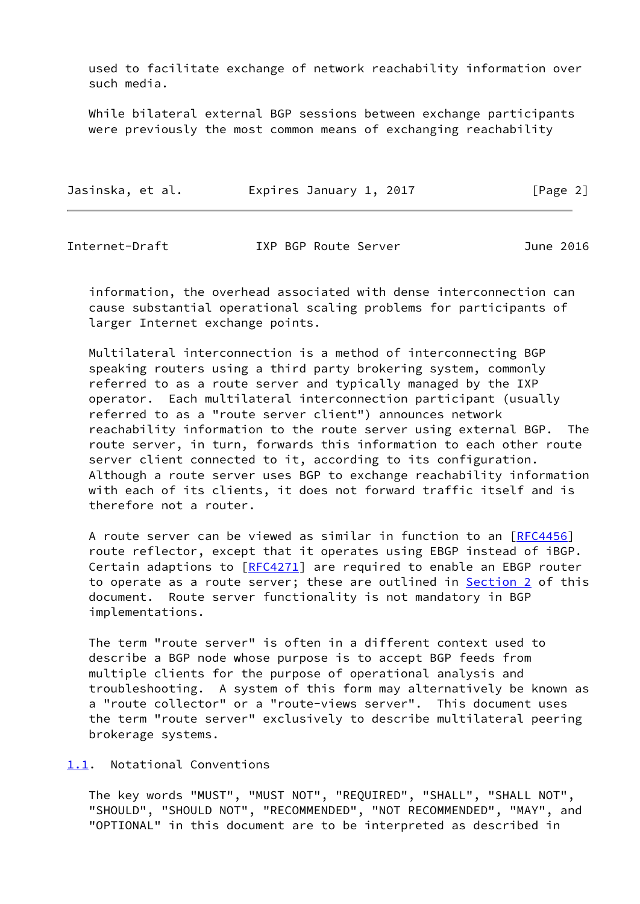used to facilitate exchange of network reachability information over such media.

 While bilateral external BGP sessions between exchange participants were previously the most common means of exchanging reachability

| Jasinska, et al. | Expires January 1, 2017 | [Page 2] |
|------------------|-------------------------|----------|
|------------------|-------------------------|----------|

<span id="page-2-1"></span>Internet-Draft IXP BGP Route Server June 2016

 information, the overhead associated with dense interconnection can cause substantial operational scaling problems for participants of larger Internet exchange points.

 Multilateral interconnection is a method of interconnecting BGP speaking routers using a third party brokering system, commonly referred to as a route server and typically managed by the IXP operator. Each multilateral interconnection participant (usually referred to as a "route server client") announces network reachability information to the route server using external BGP. The route server, in turn, forwards this information to each other route server client connected to it, according to its configuration. Although a route server uses BGP to exchange reachability information with each of its clients, it does not forward traffic itself and is therefore not a router.

A route server can be viewed as similar in function to an [[RFC4456](https://datatracker.ietf.org/doc/pdf/rfc4456)] route reflector, except that it operates using EBGP instead of iBGP. Certain adaptions to  $[REC4271]$  are required to enable an EBGP router to operate as a route server; these are outlined in [Section 2](#page-3-0) of this document. Route server functionality is not mandatory in BGP implementations.

 The term "route server" is often in a different context used to describe a BGP node whose purpose is to accept BGP feeds from multiple clients for the purpose of operational analysis and troubleshooting. A system of this form may alternatively be known as a "route collector" or a "route-views server". This document uses the term "route server" exclusively to describe multilateral peering brokerage systems.

<span id="page-2-0"></span>[1.1](#page-2-0). Notational Conventions

 The key words "MUST", "MUST NOT", "REQUIRED", "SHALL", "SHALL NOT", "SHOULD", "SHOULD NOT", "RECOMMENDED", "NOT RECOMMENDED", "MAY", and "OPTIONAL" in this document are to be interpreted as described in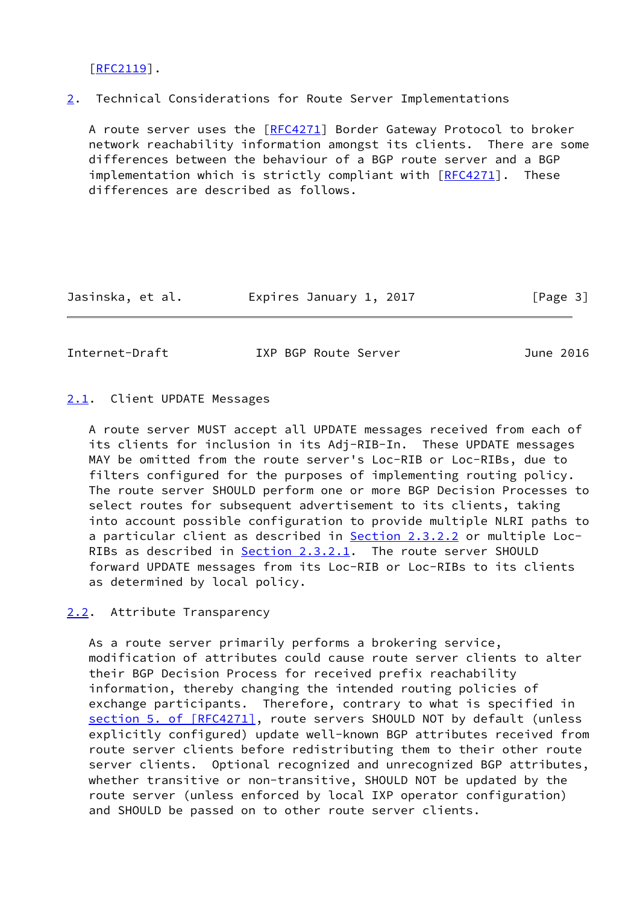[\[RFC2119](https://datatracker.ietf.org/doc/pdf/rfc2119)].

<span id="page-3-0"></span>[2](#page-3-0). Technical Considerations for Route Server Implementations

 A route server uses the [\[RFC4271](https://datatracker.ietf.org/doc/pdf/rfc4271)] Border Gateway Protocol to broker network reachability information amongst its clients. There are some differences between the behaviour of a BGP route server and a BGP implementation which is strictly compliant with [\[RFC4271](https://datatracker.ietf.org/doc/pdf/rfc4271)]. These differences are described as follows.

Jasinska, et al. Expires January 1, 2017 [Page 3]

<span id="page-3-2"></span>Internet-Draft IXP BGP Route Server June 2016

# <span id="page-3-1"></span>[2.1](#page-3-1). Client UPDATE Messages

 A route server MUST accept all UPDATE messages received from each of its clients for inclusion in its Adj-RIB-In. These UPDATE messages MAY be omitted from the route server's Loc-RIB or Loc-RIBs, due to filters configured for the purposes of implementing routing policy. The route server SHOULD perform one or more BGP Decision Processes to select routes for subsequent advertisement to its clients, taking into account possible configuration to provide multiple NLRI paths to a particular client as described in **Section 2.3.2.2** or multiple Loc- RIBs as described in [Section 2.3.2.1](#page-7-1). The route server SHOULD forward UPDATE messages from its Loc-RIB or Loc-RIBs to its clients as determined by local policy.

# <span id="page-3-3"></span>[2.2](#page-3-3). Attribute Transparency

 As a route server primarily performs a brokering service, modification of attributes could cause route server clients to alter their BGP Decision Process for received prefix reachability information, thereby changing the intended routing policies of exchange participants. Therefore, contrary to what is specified in section [5. of \[RFC4271\]](https://datatracker.ietf.org/doc/pdf/rfc4271#section-5), route servers SHOULD NOT by default (unless explicitly configured) update well-known BGP attributes received from route server clients before redistributing them to their other route server clients. Optional recognized and unrecognized BGP attributes, whether transitive or non-transitive, SHOULD NOT be updated by the route server (unless enforced by local IXP operator configuration) and SHOULD be passed on to other route server clients.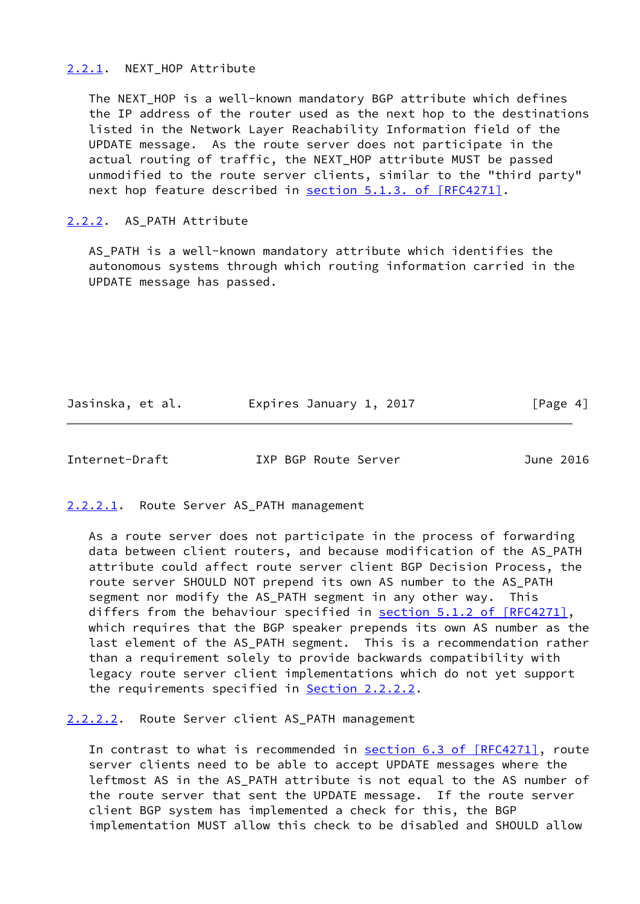#### <span id="page-4-0"></span>[2.2.1](#page-4-0). NEXT HOP Attribute

 The NEXT\_HOP is a well-known mandatory BGP attribute which defines the IP address of the router used as the next hop to the destinations listed in the Network Layer Reachability Information field of the UPDATE message. As the route server does not participate in the actual routing of traffic, the NEXT HOP attribute MUST be passed unmodified to the route server clients, similar to the "third party" next hop feature described in section [5.1.3. of \[RFC4271\]](https://datatracker.ietf.org/doc/pdf/rfc4271#section-5.1.3).

### <span id="page-4-1"></span>[2.2.2](#page-4-1). AS\_PATH Attribute

 AS\_PATH is a well-known mandatory attribute which identifies the autonomous systems through which routing information carried in the UPDATE message has passed.

Jasinska, et al. Expires January 1, 2017 [Page 4]

<span id="page-4-3"></span>Internet-Draft IXP BGP Route Server June 2016

<span id="page-4-2"></span>[2.2.2.1](#page-4-2). Route Server AS\_PATH management

 As a route server does not participate in the process of forwarding data between client routers, and because modification of the AS\_PATH attribute could affect route server client BGP Decision Process, the route server SHOULD NOT prepend its own AS number to the AS\_PATH segment nor modify the AS\_PATH segment in any other way. This differs from the behaviour specified in section [5.1.2 of \[RFC4271\]](https://datatracker.ietf.org/doc/pdf/rfc4271#section-5.1.2), which requires that the BGP speaker prepends its own AS number as the last element of the AS\_PATH segment. This is a recommendation rather than a requirement solely to provide backwards compatibility with legacy route server client implementations which do not yet support the requirements specified in **Section 2.2.2.2.** 

<span id="page-4-4"></span>[2.2.2.2](#page-4-4). Route Server client AS\_PATH management

In contrast to what is recommended in section [6.3 of \[RFC4271\]](https://datatracker.ietf.org/doc/pdf/rfc4271#section-6.3), route server clients need to be able to accept UPDATE messages where the leftmost AS in the AS\_PATH attribute is not equal to the AS number of the route server that sent the UPDATE message. If the route server client BGP system has implemented a check for this, the BGP implementation MUST allow this check to be disabled and SHOULD allow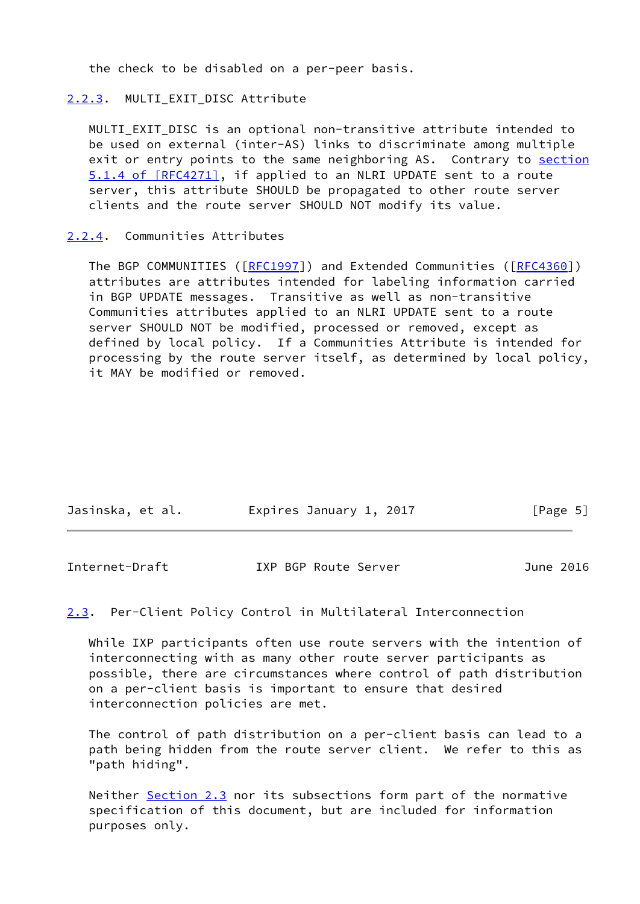the check to be disabled on a per-peer basis.

### <span id="page-5-0"></span>[2.2.3](#page-5-0). MULTI EXIT DISC Attribute

MULTI EXIT DISC is an optional non-transitive attribute intended to be used on external (inter-AS) links to discriminate among multiple exit or entry points to the same neighboring AS. Contrary to [section](https://datatracker.ietf.org/doc/pdf/rfc4271#section-5.1.4) [5.1.4 of \[RFC4271\]](https://datatracker.ietf.org/doc/pdf/rfc4271#section-5.1.4), if applied to an NLRI UPDATE sent to a route server, this attribute SHOULD be propagated to other route server clients and the route server SHOULD NOT modify its value.

### <span id="page-5-1"></span>[2.2.4](#page-5-1). Communities Attributes

The BGP COMMUNITIES ([\[RFC1997](https://datatracker.ietf.org/doc/pdf/rfc1997)]) and Extended Communities ([[RFC4360](https://datatracker.ietf.org/doc/pdf/rfc4360)]) attributes are attributes intended for labeling information carried in BGP UPDATE messages. Transitive as well as non-transitive Communities attributes applied to an NLRI UPDATE sent to a route server SHOULD NOT be modified, processed or removed, except as defined by local policy. If a Communities Attribute is intended for processing by the route server itself, as determined by local policy, it MAY be modified or removed.

| Jasinska, et al. | Expires January 1, 2017 | [Page 5] |
|------------------|-------------------------|----------|
|                  |                         |          |

<span id="page-5-2"></span>Internet-Draft IXP BGP Route Server June 2016

### <span id="page-5-3"></span>[2.3](#page-5-3). Per-Client Policy Control in Multilateral Interconnection

 While IXP participants often use route servers with the intention of interconnecting with as many other route server participants as possible, there are circumstances where control of path distribution on a per-client basis is important to ensure that desired interconnection policies are met.

 The control of path distribution on a per-client basis can lead to a path being hidden from the route server client. We refer to this as "path hiding".

Neither [Section 2.3](#page-5-3) nor its subsections form part of the normative specification of this document, but are included for information purposes only.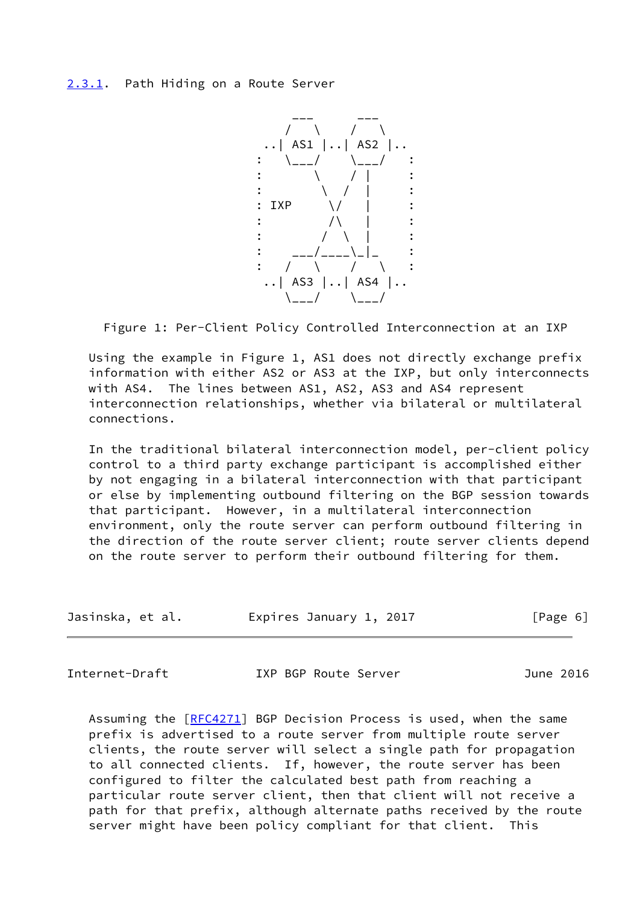<span id="page-6-0"></span>

Figure 1: Per-Client Policy Controlled Interconnection at an IXP

 Using the example in Figure 1, AS1 does not directly exchange prefix information with either AS2 or AS3 at the IXP, but only interconnects with AS4. The lines between AS1, AS2, AS3 and AS4 represent interconnection relationships, whether via bilateral or multilateral connections.

 In the traditional bilateral interconnection model, per-client policy control to a third party exchange participant is accomplished either by not engaging in a bilateral interconnection with that participant or else by implementing outbound filtering on the BGP session towards that participant. However, in a multilateral interconnection environment, only the route server can perform outbound filtering in the direction of the route server client; route server clients depend on the route server to perform their outbound filtering for them.

| Jasinska, et al. | Expires January 1, 2017 | [Page 6] |
|------------------|-------------------------|----------|
|------------------|-------------------------|----------|

<span id="page-6-1"></span>Internet-Draft IXP BGP Route Server June 2016

 Assuming the [\[RFC4271](https://datatracker.ietf.org/doc/pdf/rfc4271)] BGP Decision Process is used, when the same prefix is advertised to a route server from multiple route server clients, the route server will select a single path for propagation to all connected clients. If, however, the route server has been configured to filter the calculated best path from reaching a particular route server client, then that client will not receive a path for that prefix, although alternate paths received by the route server might have been policy compliant for that client. This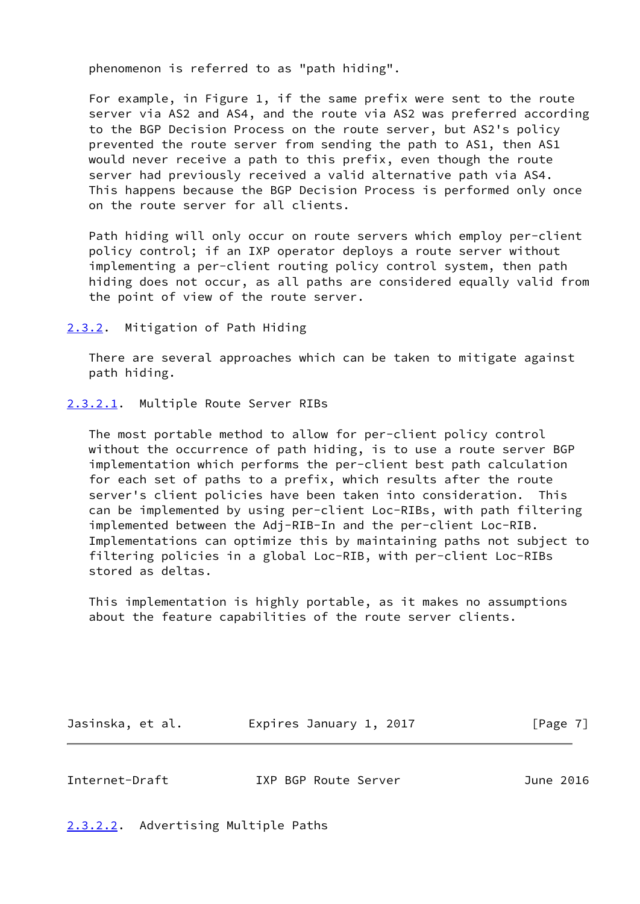phenomenon is referred to as "path hiding".

 For example, in Figure 1, if the same prefix were sent to the route server via AS2 and AS4, and the route via AS2 was preferred according to the BGP Decision Process on the route server, but AS2's policy prevented the route server from sending the path to AS1, then AS1 would never receive a path to this prefix, even though the route server had previously received a valid alternative path via AS4. This happens because the BGP Decision Process is performed only once on the route server for all clients.

 Path hiding will only occur on route servers which employ per-client policy control; if an IXP operator deploys a route server without implementing a per-client routing policy control system, then path hiding does not occur, as all paths are considered equally valid from the point of view of the route server.

<span id="page-7-0"></span>[2.3.2](#page-7-0). Mitigation of Path Hiding

 There are several approaches which can be taken to mitigate against path hiding.

<span id="page-7-1"></span>[2.3.2.1](#page-7-1). Multiple Route Server RIBs

 The most portable method to allow for per-client policy control without the occurrence of path hiding, is to use a route server BGP implementation which performs the per-client best path calculation for each set of paths to a prefix, which results after the route server's client policies have been taken into consideration. This can be implemented by using per-client Loc-RIBs, with path filtering implemented between the Adj-RIB-In and the per-client Loc-RIB. Implementations can optimize this by maintaining paths not subject to filtering policies in a global Loc-RIB, with per-client Loc-RIBs stored as deltas.

 This implementation is highly portable, as it makes no assumptions about the feature capabilities of the route server clients.

Jasinska, et al. Expires January 1, 2017 [Page 7]

<span id="page-7-3"></span>Internet-Draft IXP BGP Route Server June 2016

<span id="page-7-2"></span>[2.3.2.2](#page-7-2). Advertising Multiple Paths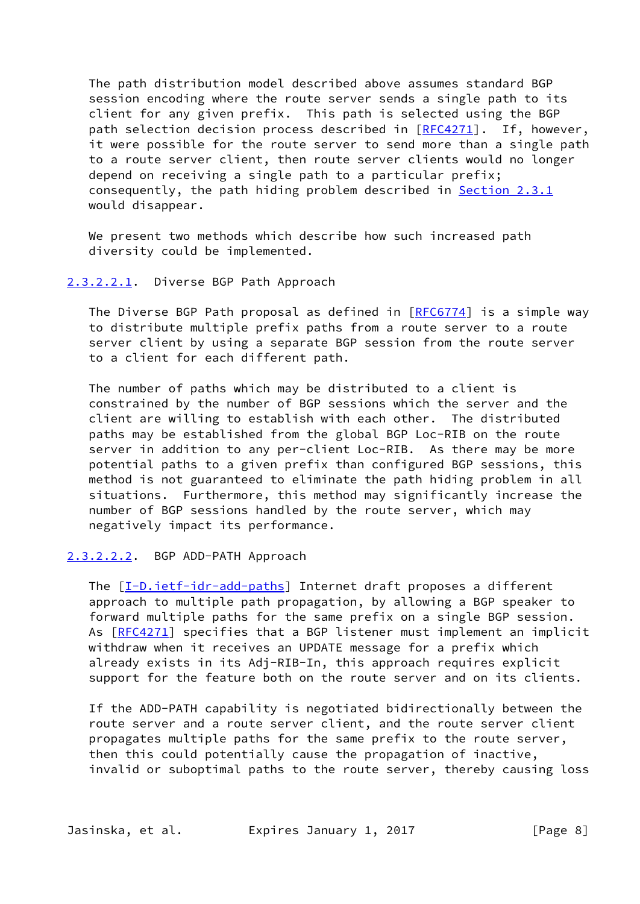The path distribution model described above assumes standard BGP session encoding where the route server sends a single path to its client for any given prefix. This path is selected using the BGP path selection decision process described in [\[RFC4271](https://datatracker.ietf.org/doc/pdf/rfc4271)]. If, however, it were possible for the route server to send more than a single path to a route server client, then route server clients would no longer depend on receiving a single path to a particular prefix; consequently, the path hiding problem described in [Section 2.3.1](#page-6-0) would disappear.

We present two methods which describe how such increased path diversity could be implemented.

#### <span id="page-8-0"></span>[2.3.2.2.1](#page-8-0). Diverse BGP Path Approach

The Diverse BGP Path proposal as defined in [\[RFC6774](https://datatracker.ietf.org/doc/pdf/rfc6774)] is a simple way to distribute multiple prefix paths from a route server to a route server client by using a separate BGP session from the route server to a client for each different path.

 The number of paths which may be distributed to a client is constrained by the number of BGP sessions which the server and the client are willing to establish with each other. The distributed paths may be established from the global BGP Loc-RIB on the route server in addition to any per-client Loc-RIB. As there may be more potential paths to a given prefix than configured BGP sessions, this method is not guaranteed to eliminate the path hiding problem in all situations. Furthermore, this method may significantly increase the number of BGP sessions handled by the route server, which may negatively impact its performance.

#### <span id="page-8-1"></span>[2.3.2.2.2](#page-8-1). BGP ADD-PATH Approach

 The [\[I-D.ietf-idr-add-paths](#page-11-1)] Internet draft proposes a different approach to multiple path propagation, by allowing a BGP speaker to forward multiple paths for the same prefix on a single BGP session. As [[RFC4271\]](https://datatracker.ietf.org/doc/pdf/rfc4271) specifies that a BGP listener must implement an implicit withdraw when it receives an UPDATE message for a prefix which already exists in its Adj-RIB-In, this approach requires explicit support for the feature both on the route server and on its clients.

 If the ADD-PATH capability is negotiated bidirectionally between the route server and a route server client, and the route server client propagates multiple paths for the same prefix to the route server, then this could potentially cause the propagation of inactive, invalid or suboptimal paths to the route server, thereby causing loss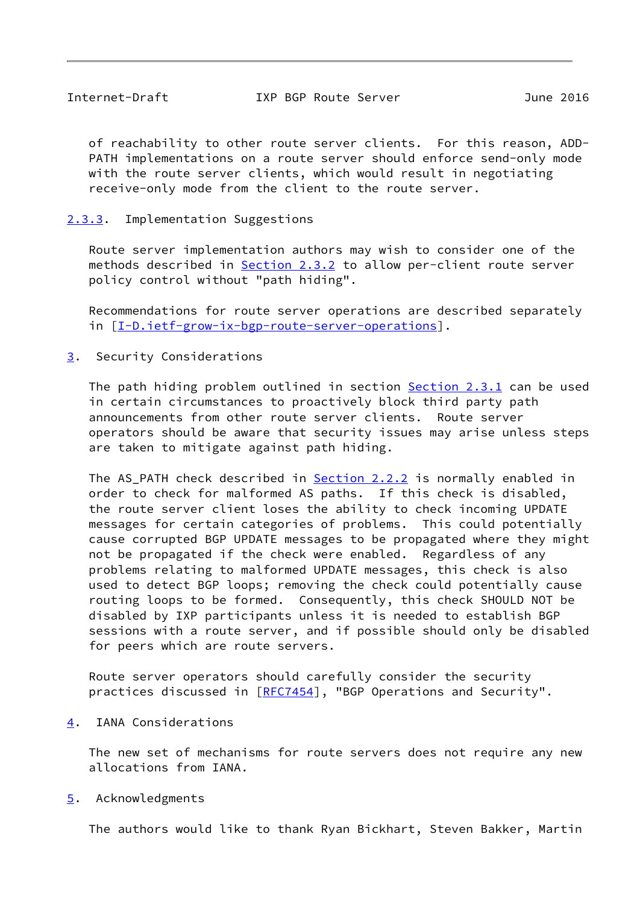<span id="page-9-1"></span> of reachability to other route server clients. For this reason, ADD- PATH implementations on a route server should enforce send-only mode with the route server clients, which would result in negotiating receive-only mode from the client to the route server.

# <span id="page-9-0"></span>[2.3.3](#page-9-0). Implementation Suggestions

 Route server implementation authors may wish to consider one of the methods described in [Section 2.3.2](#page-7-0) to allow per-client route server policy control without "path hiding".

 Recommendations for route server operations are described separately in  $[I-D.iett-grow-ix-bgp-route-server-operations]$ .

<span id="page-9-2"></span>[3](#page-9-2). Security Considerations

The path hiding problem outlined in section [Section 2.3.1](#page-6-0) can be used in certain circumstances to proactively block third party path announcements from other route server clients. Route server operators should be aware that security issues may arise unless steps are taken to mitigate against path hiding.

The AS\_PATH check described in [Section 2.2.2](#page-4-1) is normally enabled in order to check for malformed AS paths. If this check is disabled, the route server client loses the ability to check incoming UPDATE messages for certain categories of problems. This could potentially cause corrupted BGP UPDATE messages to be propagated where they might not be propagated if the check were enabled. Regardless of any problems relating to malformed UPDATE messages, this check is also used to detect BGP loops; removing the check could potentially cause routing loops to be formed. Consequently, this check SHOULD NOT be disabled by IXP participants unless it is needed to establish BGP sessions with a route server, and if possible should only be disabled for peers which are route servers.

 Route server operators should carefully consider the security practices discussed in [\[RFC7454](https://datatracker.ietf.org/doc/pdf/rfc7454)], "BGP Operations and Security".

<span id="page-9-3"></span>[4](#page-9-3). IANA Considerations

 The new set of mechanisms for route servers does not require any new allocations from IANA.

<span id="page-9-4"></span>[5](#page-9-4). Acknowledgments

The authors would like to thank Ryan Bickhart, Steven Bakker, Martin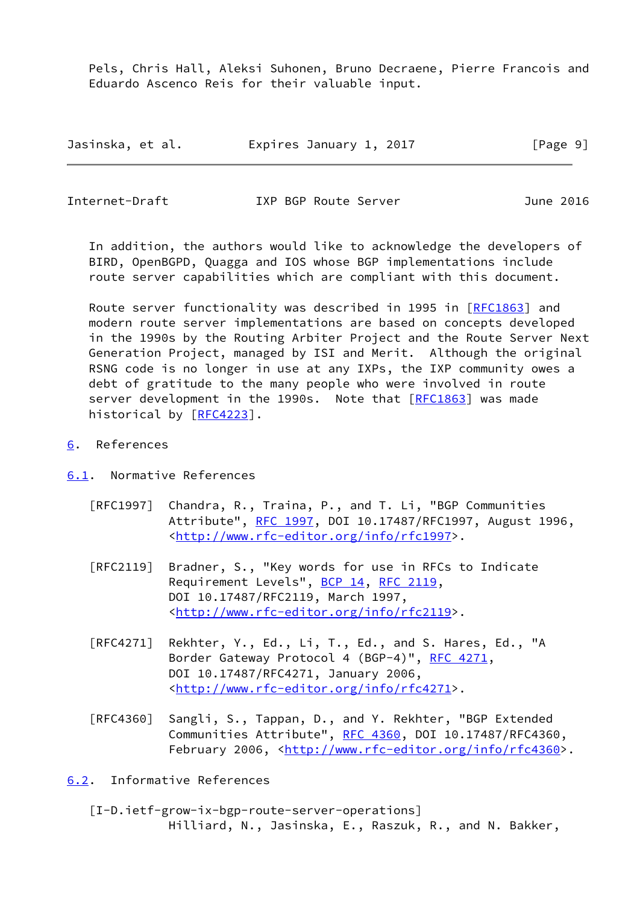Pels, Chris Hall, Aleksi Suhonen, Bruno Decraene, Pierre Francois and Eduardo Ascenco Reis for their valuable input.

| Jasinska, et al. | Expires January 1, 2017 | [Page 9] |
|------------------|-------------------------|----------|
|------------------|-------------------------|----------|

<span id="page-10-1"></span>Internet-Draft IXP BGP Route Server June 2016

 In addition, the authors would like to acknowledge the developers of BIRD, OpenBGPD, Quagga and IOS whose BGP implementations include route server capabilities which are compliant with this document.

 Route server functionality was described in 1995 in [\[RFC1863](https://datatracker.ietf.org/doc/pdf/rfc1863)] and modern route server implementations are based on concepts developed in the 1990s by the Routing Arbiter Project and the Route Server Next Generation Project, managed by ISI and Merit. Although the original RSNG code is no longer in use at any IXPs, the IXP community owes a debt of gratitude to the many people who were involved in route server development in the 1990s. Note that [\[RFC1863](https://datatracker.ietf.org/doc/pdf/rfc1863)] was made historical by [[RFC4223](https://datatracker.ietf.org/doc/pdf/rfc4223)].

<span id="page-10-0"></span>[6](#page-10-0). References

<span id="page-10-2"></span>[6.1](#page-10-2). Normative References

- [RFC1997] Chandra, R., Traina, P., and T. Li, "BGP Communities Attribute", [RFC 1997,](https://datatracker.ietf.org/doc/pdf/rfc1997) DOI 10.17487/RFC1997, August 1996, <<http://www.rfc-editor.org/info/rfc1997>>.
- [RFC2119] Bradner, S., "Key words for use in RFCs to Indicate Requirement Levels", [BCP 14](https://datatracker.ietf.org/doc/pdf/bcp14), [RFC 2119](https://datatracker.ietf.org/doc/pdf/rfc2119), DOI 10.17487/RFC2119, March 1997, <<http://www.rfc-editor.org/info/rfc2119>>.
- [RFC4271] Rekhter, Y., Ed., Li, T., Ed., and S. Hares, Ed., "A Border Gateway Protocol 4 (BGP-4)", [RFC 4271,](https://datatracker.ietf.org/doc/pdf/rfc4271) DOI 10.17487/RFC4271, January 2006, <<http://www.rfc-editor.org/info/rfc4271>>.
- [RFC4360] Sangli, S., Tappan, D., and Y. Rekhter, "BGP Extended Communities Attribute", [RFC 4360,](https://datatracker.ietf.org/doc/pdf/rfc4360) DOI 10.17487/RFC4360, February 2006, <<http://www.rfc-editor.org/info/rfc4360>>.

<span id="page-10-3"></span>[6.2](#page-10-3). Informative References

<span id="page-10-4"></span> [I-D.ietf-grow-ix-bgp-route-server-operations] Hilliard, N., Jasinska, E., Raszuk, R., and N. Bakker,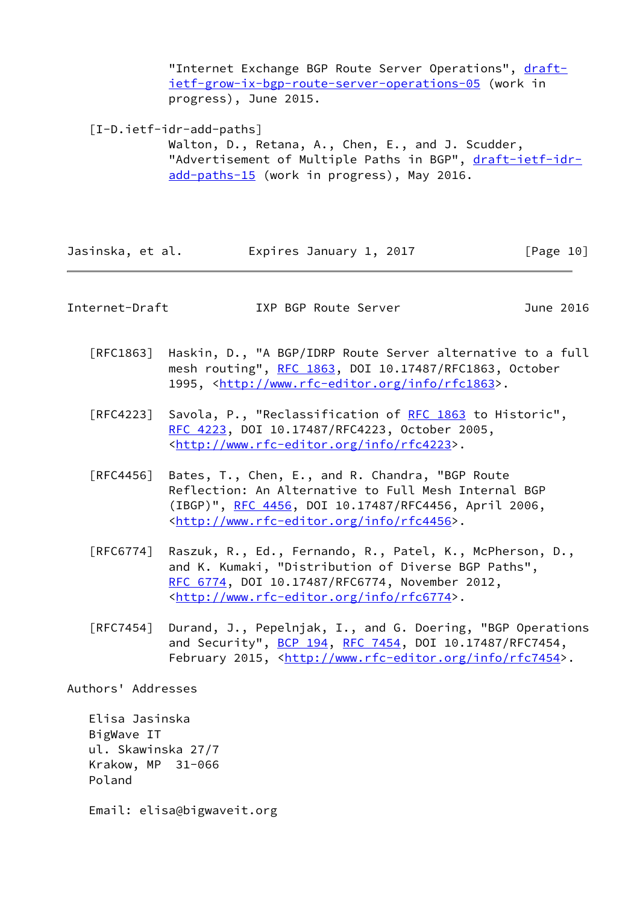"Internet Exchange BGP Route Server Operations", [draft](https://datatracker.ietf.org/doc/pdf/draft-ietf-grow-ix-bgp-route-server-operations-05) [ietf-grow-ix-bgp-route-server-operations-05](https://datatracker.ietf.org/doc/pdf/draft-ietf-grow-ix-bgp-route-server-operations-05) (work in progress), June 2015.

<span id="page-11-1"></span>[I-D.ietf-idr-add-paths]

 Walton, D., Retana, A., Chen, E., and J. Scudder, "Advertisement of Multiple Paths in BGP", [draft-ietf-idr](https://datatracker.ietf.org/doc/pdf/draft-ietf-idr-add-paths-15) [add-paths-15](https://datatracker.ietf.org/doc/pdf/draft-ietf-idr-add-paths-15) (work in progress), May 2016.

Jasinska, et al. Expires January 1, 2017 [Page 10]

<span id="page-11-0"></span>Internet-Draft IXP BGP Route Server June 2016

- [RFC1863] Haskin, D., "A BGP/IDRP Route Server alternative to a full mesh routing", [RFC 1863](https://datatracker.ietf.org/doc/pdf/rfc1863), DOI 10.17487/RFC1863, October 1995, [<http://www.rfc-editor.org/info/rfc1863](http://www.rfc-editor.org/info/rfc1863)>.
- [RFC4223] Savola, P., "Reclassification of [RFC 1863](https://datatracker.ietf.org/doc/pdf/rfc1863) to Historic", [RFC 4223,](https://datatracker.ietf.org/doc/pdf/rfc4223) DOI 10.17487/RFC4223, October 2005, <<http://www.rfc-editor.org/info/rfc4223>>.
- [RFC4456] Bates, T., Chen, E., and R. Chandra, "BGP Route Reflection: An Alternative to Full Mesh Internal BGP (IBGP)", [RFC 4456,](https://datatracker.ietf.org/doc/pdf/rfc4456) DOI 10.17487/RFC4456, April 2006, <<http://www.rfc-editor.org/info/rfc4456>>.
- [RFC6774] Raszuk, R., Ed., Fernando, R., Patel, K., McPherson, D., and K. Kumaki, "Distribution of Diverse BGP Paths", [RFC 6774,](https://datatracker.ietf.org/doc/pdf/rfc6774) DOI 10.17487/RFC6774, November 2012, <<http://www.rfc-editor.org/info/rfc6774>>.
- [RFC7454] Durand, J., Pepelnjak, I., and G. Doering, "BGP Operations and Security", [BCP 194](https://datatracker.ietf.org/doc/pdf/bcp194), [RFC 7454,](https://datatracker.ietf.org/doc/pdf/rfc7454) DOI 10.17487/RFC7454, February 2015, <<http://www.rfc-editor.org/info/rfc7454>>.

Authors' Addresses

 Elisa Jasinska BigWave IT ul. Skawinska 27/7 Krakow, MP 31-066 Poland

Email: elisa@bigwaveit.org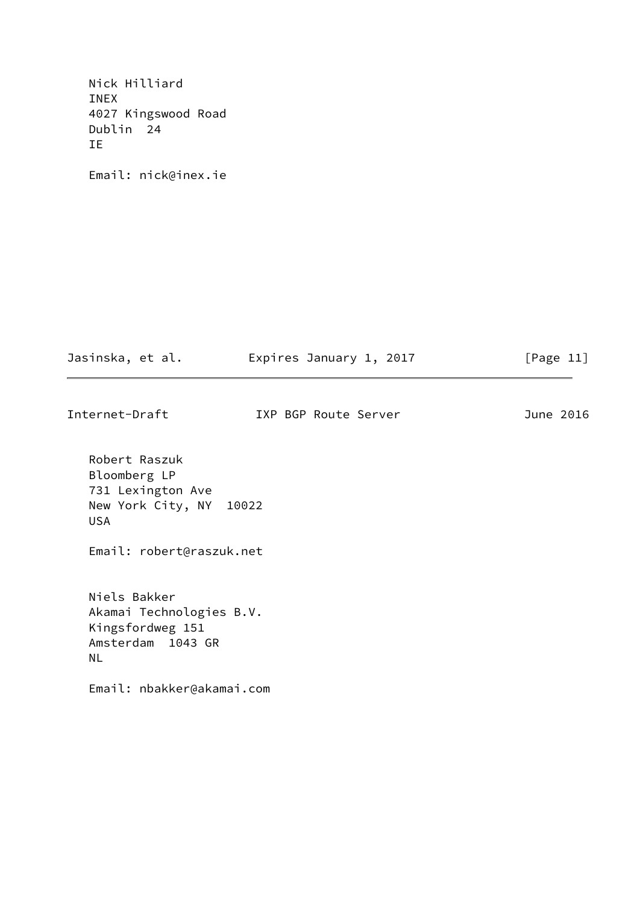Nick Hilliard INEX 4027 Kingswood Road Dublin 24 IE

Email: nick@inex.ie

| Jasinska, et al. | Expires January 1, 2017 | [Page 11] |
|------------------|-------------------------|-----------|
|                  |                         |           |

Internet-Draft IXP BGP Route Server June 2016

 Robert Raszuk Bloomberg LP 731 Lexington Ave New York City, NY 10022 USA

Email: robert@raszuk.net

 Niels Bakker Akamai Technologies B.V. Kingsfordweg 151 Amsterdam 1043 GR NL

Email: nbakker@akamai.com